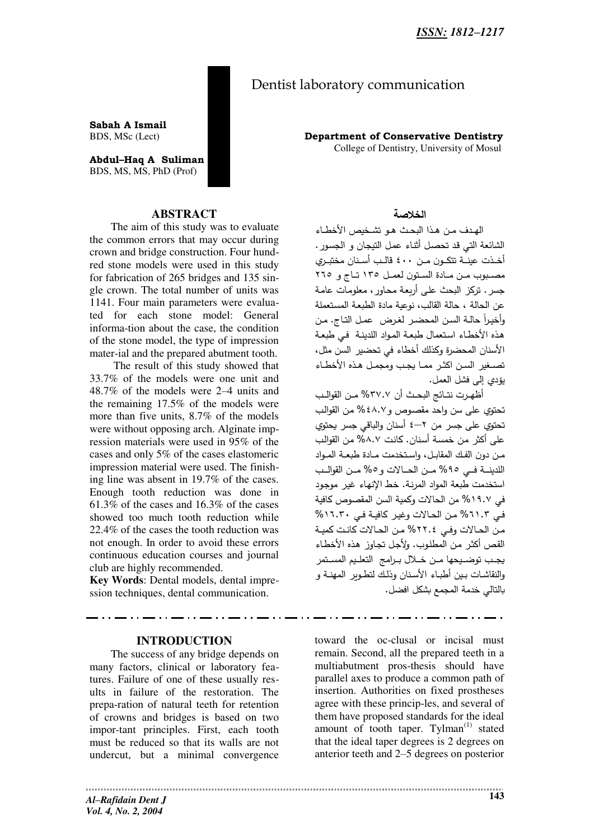# Dentist laboratory communication

Sabah A Ismail BDS, MSc (Lect)

Abdul-Haq A Suliman BDS, MS, MS, PhD (Prof)



The aim of this study was to evaluate the common errors that may occur during crown and bridge construction. Four hundred stone models were used in this study for fabrication of 265 bridges and 135 single crown. The total number of units was 1141. Four main parameters were evaluated for each stone model: General informa-tion about the case, the condition of the stone model, the type of impression mater-ial and the prepared abutment tooth.

The result of this study showed that 33.7% of the models were one unit and 48.7% of the models were 2–4 units and the remaining 17.5% of the models were more than five units, 8.7% of the models were without opposing arch. Alginate impression materials were used in 95% of the cases and only 5% of the cases elastomeric impression material were used. The finishing line was absent in 19.7% of the cases. Enough tooth reduction was done in  $61.3\%$  of the cases and 16.3% of the cases showed too much tooth reduction while 22.4% of the cases the tooth reduction was not enough. In order to avoid these errors continuous education courses and journal club are highly recommended.

Key Words: Dental models, dental impression techniques, dental communication.

# **INTRODUCTION**

The success of any bridge depends on many factors, clinical or laboratory features. Failure of one of these usually results in failure of the restoration. The prepa-ration of natural teeth for retention of crowns and bridges is based on two impor-tant principles. First, each tooth must be reduced so that its walls are not undercut, but a minimal convergence

**Department of Conservative Dentistry** College of Dentistry, University of Mosul

# الخلاصة

الهدف من هذا البحث هو تشخيص الأخطاء الشائعة التي قد تحصل أثناء عمل التيجان و الجسور. أخـذت عينــة تتكـون مــن ٤٠٠ قالـب أسـنان مختبـري مصبوب من مادة الستون لعمل ١٣٥ تاج و ٢٦٥ جسر . تركز البحث على أربعة محاور ، معلومات عامة عن الحالة ، حالة القالب، نوعية مادة الطبعة المستعملة وأخيراً حالـة السن المحضـر لغرض عمـل التـاج. من هذه الأخطاء استعمال طبعة المواد اللدينة في طبعة الأسنان المحضرة وكذلك أخطاء في تحضير السن مثل، تصغير السن اكثر مما يجب ومجمل هذه الأخطاء يؤدي إلى فشل العمل.

أظهرت نتـائج البحـث أن ٣٧.٧% مـن القوالـب تحتوي على سن واحد مقصوص و٤٨.٧% من القوالب تحتوي على جسر من ٢–٤ أسنان والباقي جسر يحتوي على أكثر من خمسة أسنان. كانت ٨.٧% من القوالب من دون الفك المقابل، وإستخدمت مـادة طبعـة المـواد اللدينـــة فـــى 90% مــن الحــالات و0% مــن القوالــب استخدمت طبعة المواد المرنة. خط الإنهاء غير موجود في ١٩.٧% من الحالات وكمية السن المقصوص كافية في ٦١.٣% من الحالات وغير كافية في ١٦.٣٠% من الحالات وفي ٢٢٠٤% من الحالات كانت كمية القص أكثر من المطلوب. ولأجل تجاوز هذه الأخطاء يجب توضديحها مـن خـلال بـرامج التعليم المسـتمر والنقاشات بين أطباء الأسنان وذلك لتطوير المهنة و بالتالي خدمة المجمع بشكل افضل.

toward the oc-clusal or incisal must remain. Second, all the prepared teeth in a multiabutment pros-thesis should have parallel axes to produce a common path of insertion. Authorities on fixed prostheses agree with these princip-les, and several of them have proposed standards for the ideal amount of tooth taper. Tylman<sup>(1)</sup> stated that the ideal taper degrees is 2 degrees on anterior teeth and 2–5 degrees on posterior

**Al-Rafidain Dent J** Vol. 4, No. 2, 2004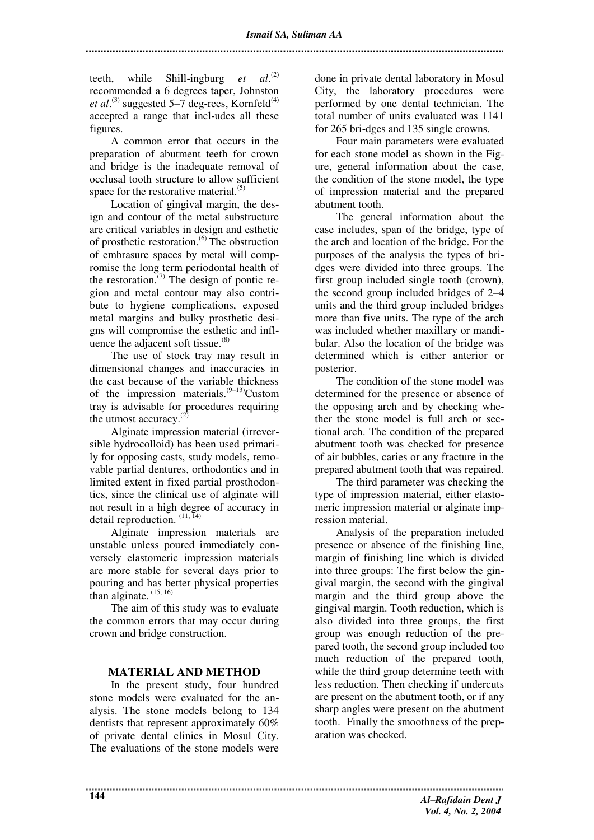teeth, while Shill-ingburg *et*  $al.$ <sup>(2)</sup> recommended a 6 degrees taper, Johnston *et al.*<sup>(3)</sup> suggested 5–7 deg-rees, Kornfeld<sup>(4)</sup> accepted a range that incl-udes all these figures.

A common error that occurs in the preparation of abutment teeth for crown and bridge is the inadequate removal of occlusal tooth structure to allow sufficient space for the restorative material. $(5)$ 

Location of gingival margin, the design and contour of the metal substructure are critical variables in design and esthetic of prosthetic restoration.(6) The obstruction of embrasure spaces by metal will compromise the long term periodontal health of the restoration.<sup> $(7)$ </sup> The design of pontic region and metal contour may also contribute to hygiene complications, exposed metal margins and bulky prosthetic designs will compromise the esthetic and influence the adjacent soft tissue. $(8)$ 

The use of stock tray may result in dimensional changes and inaccuracies in the cast because of the variable thickness of the impression materials. $(9-13)$ Custom tray is advisable for procedures requiring the utmost accuracy. $(2)$ 

Alginate impression material (irreversible hydrocolloid) has been used primarily for opposing casts, study models, removable partial dentures, orthodontics and in limited extent in fixed partial prosthodontics, since the clinical use of alginate will not result in a high degree of accuracy in detail reproduction.  $(11, 14)$ 

Alginate impression materials are unstable unless poured immediately conversely elastomeric impression materials are more stable for several days prior to pouring and has better physical properties than alginate.  $(15, 16)$ 

The aim of this study was to evaluate the common errors that may occur during crown and bridge construction.

# **MATERIAL AND METHOD**

In the present study, four hundred stone models were evaluated for the analysis. The stone models belong to 134 dentists that represent approximately 60% of private dental clinics in Mosul City. The evaluations of the stone models were done in private dental laboratory in Mosul City, the laboratory procedures were performed by one dental technician. The total number of units evaluated was 1141 for 265 bri-dges and 135 single crowns.

Four main parameters were evaluated for each stone model as shown in the Figure, general information about the case, the condition of the stone model, the type of impression material and the prepared abutment tooth.

The general information about the case includes, span of the bridge, type of the arch and location of the bridge. For the purposes of the analysis the types of bridges were divided into three groups. The first group included single tooth (crown), the second group included bridges of 2–4 units and the third group included bridges more than five units. The type of the arch was included whether maxillary or mandibular. Also the location of the bridge was determined which is either anterior or posterior.

The condition of the stone model was determined for the presence or absence of the opposing arch and by checking whether the stone model is full arch or sectional arch. The condition of the prepared abutment tooth was checked for presence of air bubbles, caries or any fracture in the prepared abutment tooth that was repaired.

The third parameter was checking the type of impression material, either elastomeric impression material or alginate impression material.

Analysis of the preparation included presence or absence of the finishing line, margin of finishing line which is divided into three groups: The first below the gingival margin, the second with the gingival margin and the third group above the gingival margin. Tooth reduction, which is also divided into three groups, the first group was enough reduction of the prepared tooth, the second group included too much reduction of the prepared tooth, while the third group determine teeth with less reduction. Then checking if undercuts are present on the abutment tooth, or if any sharp angles were present on the abutment tooth. Finally the smoothness of the preparation was checked.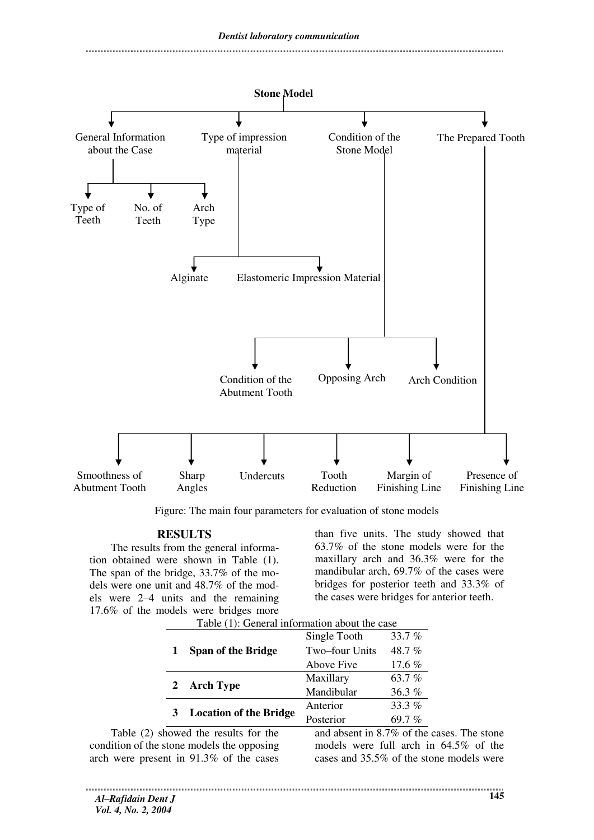

Figure: The main four parameters for evaluation of stone models

#### **RESULTS**

The results from the general information obtained were shown in Table (1). The span of the bridge, 33.7% of the models were one unit and 48.7% of the models were 2–4 units and the remaining 17.6% of the models were bridges more  $T$  Table (1): General information about the case of case  $G$ 

than five units. The study showed that 63.7% of the stone models were for the maxillary arch and 36.3% were for the mandibular arch, 69.7% of the cases were bridges for posterior teeth and 33.3% of the cases were bridges for anterior teeth.

| Table (1). General information about the case                                                                                                                                                                                                                                                                      |                               |                |        |  |  |
|--------------------------------------------------------------------------------------------------------------------------------------------------------------------------------------------------------------------------------------------------------------------------------------------------------------------|-------------------------------|----------------|--------|--|--|
|                                                                                                                                                                                                                                                                                                                    | <b>Span of the Bridge</b>     | Single Tooth   | 33.7%  |  |  |
|                                                                                                                                                                                                                                                                                                                    |                               | Two-four Units | 48.7%  |  |  |
|                                                                                                                                                                                                                                                                                                                    |                               | Above Five     | 17.6 % |  |  |
| 2                                                                                                                                                                                                                                                                                                                  | <b>Arch Type</b>              | Maxillary      | 63.7%  |  |  |
|                                                                                                                                                                                                                                                                                                                    |                               | Mandibular     | 36.3%  |  |  |
|                                                                                                                                                                                                                                                                                                                    | <b>Location of the Bridge</b> | Anterior       | 33.3%  |  |  |
|                                                                                                                                                                                                                                                                                                                    |                               | Posterior      | 69.7%  |  |  |
| $\mathbf{1}$ and $\mathbf{1}$ and $\mathbf{1}$ and $\mathbf{1}$ and $\mathbf{1}$ and $\mathbf{1}$ and $\mathbf{1}$ and $\mathbf{1}$ and $\mathbf{1}$ and $\mathbf{1}$ and $\mathbf{1}$ and $\mathbf{1}$ and $\mathbf{1}$ and $\mathbf{1}$ and $\mathbf{1}$ and $\mathbf{1}$ and $\mathbf{1}$ and<br>$11 \tcdot 27$ |                               |                |        |  |  |

Table (2) showed the results for the condition of the stone models the opposing arch were present in 91.3% of the cases

and absent in 8.7% of the cases. The stone models were full arch in 64.5% of the cases and 35.5% of the stone models were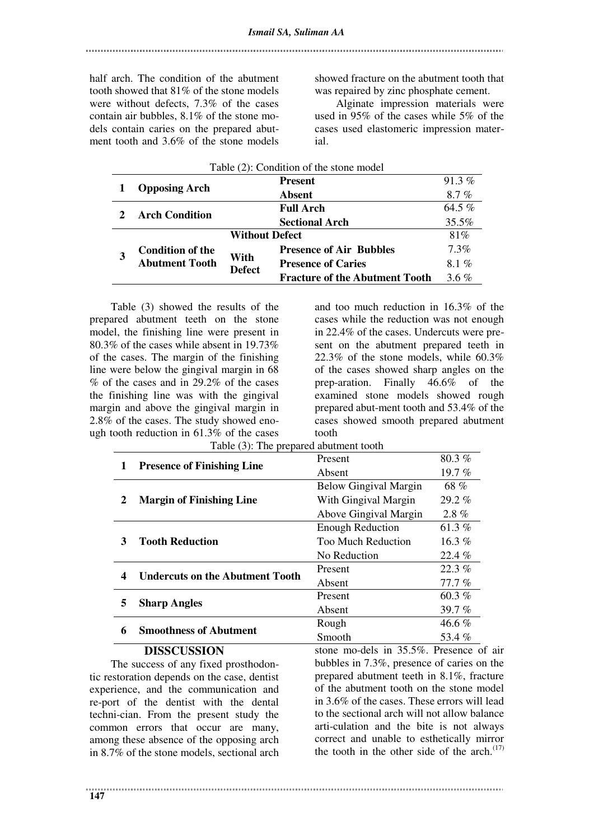half arch. The condition of the abutment tooth showed that 81% of the stone models were without defects, 7.3% of the cases contain air bubbles, 8.1% of the stone models contain caries on the prepared abutment tooth and 3.6% of the stone models

showed fracture on the abutment tooth that was repaired by zinc phosphate cement.

Alginate impression materials were used in 95% of the cases while 5% of the cases used elastomeric impression material.

| Table (2): Condition of the stone model |                                                                           |                       |                                       |          |  |  |
|-----------------------------------------|---------------------------------------------------------------------------|-----------------------|---------------------------------------|----------|--|--|
|                                         | <b>Opposing Arch</b>                                                      |                       | <b>Present</b>                        | $91.3\%$ |  |  |
|                                         |                                                                           |                       | <b>Absent</b>                         | 8.7%     |  |  |
|                                         | <b>Arch Condition</b>                                                     |                       | <b>Full Arch</b>                      | 64.5 $%$ |  |  |
|                                         |                                                                           |                       | <b>Sectional Arch</b>                 | 35.5%    |  |  |
|                                         |                                                                           | <b>Without Defect</b> |                                       | 81%      |  |  |
|                                         | <b>Condition of the</b><br>With<br><b>Abutment Tooth</b><br><b>Defect</b> |                       | <b>Presence of Air Bubbles</b>        | $7.3\%$  |  |  |
|                                         |                                                                           |                       | <b>Presence of Caries</b>             | $8.1\%$  |  |  |
|                                         |                                                                           |                       | <b>Fracture of the Abutment Tooth</b> | $3.6\%$  |  |  |

Table (3) showed the results of the prepared abutment teeth on the stone model, the finishing line were present in 80.3% of the cases while absent in 19.73% of the cases. The margin of the finishing line were below the gingival margin in 68 % of the cases and in 29.2% of the cases the finishing line was with the gingival margin and above the gingival margin in 2.8% of the cases. The study showed enough tooth reduction in 61.3% of the cases

and too much reduction in 16.3% of the cases while the reduction was not enough in 22.4% of the cases. Undercuts were present on the abutment prepared teeth in 22.3% of the stone models, while  $60.3\%$ of the cases showed sharp angles on the prep-aration. Finally 46.6% of the examined stone models showed rough prepared abut-ment tooth and 53.4% of the cases showed smooth prepared abutment tooth

| Table (3): The prepared abutment tooth |                           |          |  |  |  |
|----------------------------------------|---------------------------|----------|--|--|--|
| <b>Presence of Finishing Line</b>      | <b>Present</b>            | $80.3\%$ |  |  |  |
|                                        | Absent                    | 19.7%    |  |  |  |
| <b>Margin of Finishing Line</b>        | Below Gingival Margin     | 68 %     |  |  |  |
|                                        | With Gingival Margin      | $29.2\%$ |  |  |  |
|                                        | Above Gingival Margin     | $2.8\%$  |  |  |  |
| <b>Tooth Reduction</b>                 | <b>Enough Reduction</b>   | 61.3%    |  |  |  |
|                                        | <b>Too Much Reduction</b> | 16.3 $%$ |  |  |  |
|                                        | No Reduction              | $22.4\%$ |  |  |  |
| <b>Undercuts on the Abutment Tooth</b> | Present                   | 22.3%    |  |  |  |
|                                        | Absent                    | 77.7%    |  |  |  |
| <b>Sharp Angles</b>                    | Present                   | 60.3 $%$ |  |  |  |
|                                        | Absent                    | 39.7 $%$ |  |  |  |
| <b>Smoothness of Abutment</b>          | Rough                     | $46.6\%$ |  |  |  |
|                                        | Smooth                    | 53.4%    |  |  |  |
|                                        |                           |          |  |  |  |

#### **DISSCUSSION**

The success of any fixed prosthodontic restoration depends on the case, dentist experience, and the communication and re-port of the dentist with the dental techni-cian. From the present study the common errors that occur are many, among these absence of the opposing arch in 8.7% of the stone models, sectional arch

stone mo-dels in 35.5%. Presence of air bubbles in 7.3%, presence of caries on the prepared abutment teeth in 8.1%, fracture of the abutment tooth on the stone model in 3.6% of the cases. These errors will lead to the sectional arch will not allow balance arti-culation and the bite is not always correct and unable to esthetically mirror the tooth in the other side of the arch. $(17)$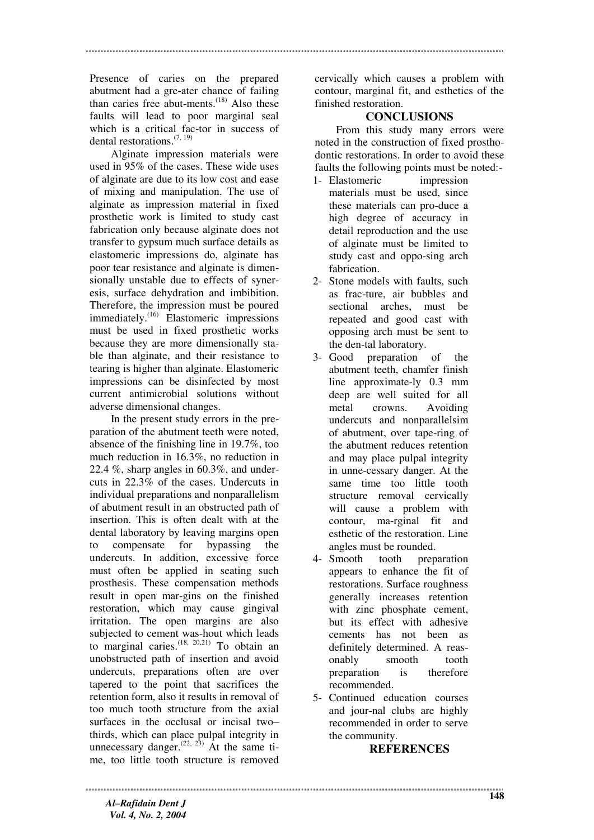Presence of caries on the prepared abutment had a gre-ater chance of failing than caries free abut-ments. $^{(18)}$  Also these faults will lead to poor marginal seal which is a critical fac-tor in success of dental restorations.  $(7, 19)$ 

Alginate impression materials were used in 95% of the cases. These wide uses of alginate are due to its low cost and ease of mixing and manipulation. The use of alginate as impression material in fixed prosthetic work is limited to study cast fabrication only because alginate does not transfer to gypsum much surface details as elastomeric impressions do, alginate has poor tear resistance and alginate is dimensionally unstable due to effects of syneresis, surface dehydration and imbibition. Therefore, the impression must be poured immediately.(16) Elastomeric impressions must be used in fixed prosthetic works because they are more dimensionally stable than alginate, and their resistance to tearing is higher than alginate. Elastomeric impressions can be disinfected by most current antimicrobial solutions without adverse dimensional changes.

In the present study errors in the preparation of the abutment teeth were noted, absence of the finishing line in 19.7%, too much reduction in 16.3%, no reduction in 22.4 %, sharp angles in 60.3%, and undercuts in 22.3% of the cases. Undercuts in individual preparations and nonparallelism of abutment result in an obstructed path of insertion. This is often dealt with at the dental laboratory by leaving margins open to compensate for bypassing the undercuts. In addition, excessive force must often be applied in seating such prosthesis. These compensation methods result in open mar-gins on the finished restoration, which may cause gingival irritation. The open margins are also subjected to cement was-hout which leads to marginal caries.  $(18, 20,21)$  To obtain an unobstructed path of insertion and avoid undercuts, preparations often are over tapered to the point that sacrifices the retention form, also it results in removal of too much tooth structure from the axial surfaces in the occlusal or incisal two– thirds, which can place pulpal integrity in unnecessary danger.<sup> $(22, 23)$ </sup> At the same time, too little tooth structure is removed

cervically which causes a problem with contour, marginal fit, and esthetics of the finished restoration.

#### **CONCLUSIONS**

From this study many errors were noted in the construction of fixed prosthodontic restorations. In order to avoid these faults the following points must be noted:-

- 1- Elastomeric impression materials must be used, since these materials can pro-duce a high degree of accuracy in detail reproduction and the use of alginate must be limited to study cast and oppo-sing arch fabrication.
- 2- Stone models with faults, such as frac-ture, air bubbles and sectional arches, must be repeated and good cast with opposing arch must be sent to the den-tal laboratory.
- 3- Good preparation of the abutment teeth, chamfer finish line approximate-ly 0.3 mm deep are well suited for all metal crowns. Avoiding undercuts and nonparallelsim of abutment, over tape-ring of the abutment reduces retention and may place pulpal integrity in unne-cessary danger. At the same time too little tooth structure removal cervically will cause a problem with contour, ma-rginal fit and esthetic of the restoration. Line angles must be rounded.
- 4- Smooth tooth preparation appears to enhance the fit of restorations. Surface roughness generally increases retention with zinc phosphate cement, but its effect with adhesive cements has not been as definitely determined. A reasonably smooth tooth preparation is therefore recommended.
- 5- Continued education courses and jour-nal clubs are highly recommended in order to serve the community.

### **REFERENCES**

*Al–Rafidain Dent J Vol. 4, No. 2, 2004*